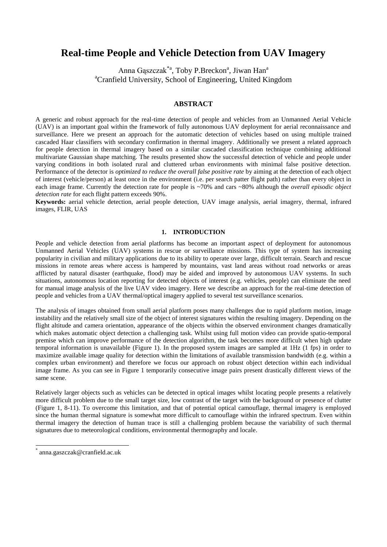# **Real-time People and Vehicle Detection from UAV Imagery**

Anna Gąszczak<sup>\*a</sup>, Toby P.Breckon<sup>a</sup>, Jiwan Han<sup>a</sup> <sup>a</sup>Cranfield University, School of Engineering, United Kingdom

# **ABSTRACT**

A generic and robust approach for the real-time detection of people and vehicles from an Unmanned Aerial Vehicle (UAV) is an important goal within the framework of fully autonomous UAV deployment for aerial reconnaissance and surveillance. Here we present an approach for the automatic detection of vehicles based on using multiple trained cascaded Haar classifiers with secondary confirmation in thermal imagery. Additionally we present a related approach for people detection in thermal imagery based on a similar cascaded classification technique combining additional multivariate Gaussian shape matching. The results presented show the successful detection of vehicle and people under varying conditions in both isolated rural and cluttered urban environments with minimal false positive detection. Performance of the detector is *optimized to reduce the overall false positive rate* by aiming at the detection of each object of interest (vehicle/person) at least once in the environment (i.e. per search patter flight path) rather than every object in each image frame. Currently the detection rate for people is ~70% and cars ~80% although the *overall episodic object detection rate* for each flight pattern exceeds 90%.

**Keywords:** aerial vehicle detection, aerial people detection, UAV image analysis, aerial imagery, thermal, infrared images, FLIR, UAS

# **1. INTRODUCTION**

People and vehicle detection from aerial platforms has become an important aspect of deployment for autonomous Unmanned Aerial Vehicles (UAV) systems in rescue or surveillance missions. This type of system has increasing popularity in civilian and military applications due to its ability to operate over large, difficult terrain. Search and rescue missions in remote areas where access is hampered by mountains, vast land areas without road networks or areas afflicted by natural disaster (earthquake, flood) may be aided and improved by autonomous UAV systems. In such situations, autonomous location reporting for detected objects of interest (e.g. vehicles, people) can eliminate the need for manual image analysis of the live UAV video imagery. Here we describe an approach for the real-time detection of people and vehicles from a UAV thermal/optical imagery applied to several test surveillance scenarios.

The analysis of images obtained from small aerial platform poses many challenges due to rapid platform motion, image instability and the relatively small size of the object of interest signatures within the resulting imagery. Depending on the flight altitude and camera orientation, appearance of the objects within the observed environment changes dramatically which makes automatic object detection a challenging task. Whilst using full motion video can provide spatio-temporal premise which can improve performance of the detection algorithm, the task becomes more difficult when high update temporal information is unavailable [\(Figure 1\)](#page-1-0). In the proposed system images are sampled at 1Hz (1 fps) in order to maximize available image quality for detection within the limitations of available transmission bandwidth (e.g. within a complex urban environment) and therefore we focus our approach on robust object detection within each individual image frame. As you can see in [Figure 1](#page-1-0) temporarily consecutive image pairs present drastically different views of the same scene.

Relatively larger objects such as vehicles can be detected in optical images whilst locating people presents a relatively more difficult problem due to the small target size, low contrast of the target with the background or presence of clutter [\(Figure 1,](#page-1-0) 8-11). To overcome this limitation, and that of potential optical camouflage, thermal imagery is employed since the human thermal signature is somewhat more difficult to camouflage within the infrared spectrum. Even within thermal imagery the detection of human trace is still a challenging problem because the variability of such thermal signatures due to meteorological conditions, environmental thermography and locale.

1

<sup>\*</sup> anna.gaszczak@cranfield.ac.uk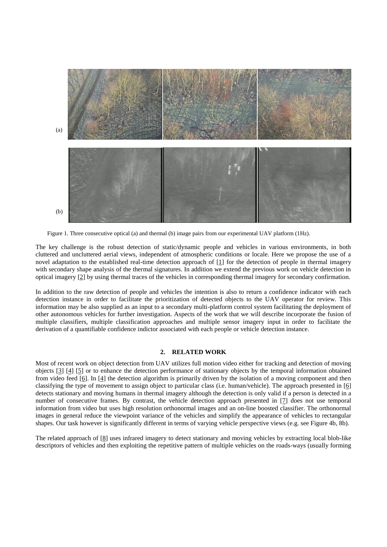

Figure 1. Three consecutive optical (a) and thermal (b) image pairs from our experimental UAV platform (1Hz).

<span id="page-1-0"></span>The key challenge is the robust detection of static/dynamic people and vehicles in various environments, in both cluttered and uncluttered aerial views, independent of atmospheric conditions or locale. Here we propose the use of a novel adaptation to the established real-time detection approach of [\[1\]](#page-11-0) for the detection of people in thermal imagery with secondary shape analysis of the thermal signatures. In addition we extend the previous work on vehicle detection in optical imagery [\[2\]](#page-11-1) by using thermal traces of the vehicles in corresponding thermal imagery for secondary confirmation.

In addition to the raw detection of people and vehicles the intention is also to return a confidence indicator with each detection instance in order to facilitate the prioritization of detected objects to the UAV operator for review. This information may be also supplied as an input to a secondary multi-platform control system facilitating the deployment of other autonomous vehicles for further investigation. Aspects of the work that we will describe incorporate the fusion of multiple classifiers, multiple classification approaches and multiple sensor imagery input in order to facilitate the derivation of a quantifiable confidence indictor associated with each people or vehicle detection instance.

## **2. RELATED WORK**

Most of recent work on object detection from UAV utilizes full motion video either for tracking and detection of moving objects [3] [4] [5] or to enhance the detection performance of stationary objects by the temporal information obtained from video feed [\[6\]](#page-11-2). In [4] the detection algorithm is primarily driven by the isolation of a moving component and then classifying the type of movement to assign object to particular class (i.e. human/vehicle). The approach presented in [\[6\]](#page-11-2) detects stationary and moving humans in thermal imagery although the detection is only valid if a person is detected in a number of consecutive frames. By contrast, the vehicle detection approach presented in [\[7\]](#page-11-3) does not use temporal information from video but uses high resolution orthonormal images and an on-line boosted classifier. The orthonormal images in general reduce the viewpoint variance of the vehicles and simplify the appearance of vehicles to rectangular shapes. Our task however is significantly different in terms of varying vehicle perspective views (e.g. see [Figure 4b](#page-5-0), 8b).

The related approach of [\[8\]](#page-11-4) uses infrared imagery to detect stationary and moving vehicles by extracting local blob-like descriptors of vehicles and then exploiting the repetitive pattern of multiple vehicles on the roads-ways (usually forming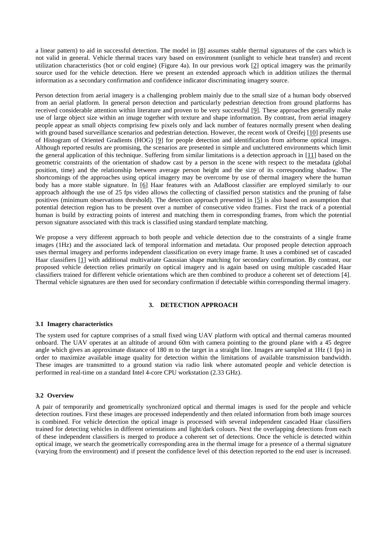a linear pattern) to aid in successful detection. The model in [\[8\]](#page-11-4) assumes stable thermal signatures of the cars which is not valid in general. Vehicle thermal traces vary based on environment (sunlight to vehicle heat transfer) and recent utilization characteristics (hot or cold engine) [\(Figure 4a](#page-5-0)). In our previous work [\[2\]](#page-11-1) optical imagery was the primarily source used for the vehicle detection. Here we present an extended approach which in addition utilizes the thermal information as a secondary confirmation and confidence indicator discriminating imagery source.

Person detection from aerial imagery is a challenging problem mainly due to the small size of a human body observed from an aerial platform. In general person detection and particularly pedestrian detection from ground platforms has received considerable attention within literature and proven to be very successful [\[9\]](#page-11-5). These approaches generally make use of large object size within an image together with texture and shape information. By contrast, from aerial imagery people appear as small objects comprising few pixels only and lack number of features normally present when dealing with ground based surveillance scenarios and pedestrian detection. However, the recent work of Oreifej [\[10\]](#page-11-6) presents use of Histogram of Oriented Gradients (HOG) [\[9\]](#page-11-5) for people detection and identification from airborne optical images. Although reported results are promising, the scenarios are presented in simple and uncluttered environments which limit the general application of this technique. Suffering from similar limitations is a detection approach in [11] based on the geometric constraints of the orientation of shadow cast by a person in the scene with respect to the metadata (global position, time) and the relationship between average person height and the size of its corresponding shadow. The shortcomings of the approaches using optical imagery may be overcome by use of thermal imagery where the human body has a more stable signature. In [\[6\]](#page-11-2) Haar features with an AdaBoost classifier are employed similarly to our approach although the use of 25 fps video allows the collecting of classified person statistics and the pruning of false positives (minimum observations threshold). The detection approach presented in [5] is also based on assumption that potential detection region has to be present over a number of consecutive video frames. First the track of a potential human is build by extracting points of interest and matching them in corresponding frames, from which the potential person signature associated with this track is classified using standard template matching.

We propose a very different approach to both people and vehicle detection due to the constraints of a single frame images (1Hz) and the associated lack of temporal information and metadata. Our proposed people detection approach uses thermal imagery and performs independent classification on every image frame. It uses a combined set of cascaded Haar classifiers [\[1\]](#page-11-0) with additional multivariate Gaussian shape matching for secondary confirmation. By contrast, our proposed vehicle detection relies primarily on optical imagery and is again based on using multiple cascaded Haar classifiers trained for different vehicle orientations which are then combined to produce a coherent set of detections [4]. Thermal vehicle signatures are then used for secondary confirmation if detectable within corresponding thermal imagery.

# **3. DETECTION APPROACH**

#### **3.1 Imagery characteristics**

The system used for capture comprises of a small fixed wing UAV platform with optical and thermal cameras mounted onboard. The UAV operates at an altitude of around 60m with camera pointing to the ground plane with a 45 degree angle which gives an approximate distance of 180 m to the target in a straight line. Images are sampled at 1Hz (1 fps) in order to maximize available image quality for detection within the limitations of available transmission bandwidth. These images are transmitted to a ground station via radio link where automated people and vehicle detection is performed in real-time on a standard Intel 4-core CPU workstation (2.33 GHz).

#### **3.2 Overview**

A pair of temporarily and geometrically synchronized optical and thermal images is used for the people and vehicle detection routines. First these images are processed independently and then related information from both image sources is combined. For vehicle detection the optical image is processed with several independent cascaded Haar classifiers trained for detecting vehicles in different orientations and light/dark colours. Next the overlapping detections from each of these independent classifiers is merged to produce a coherent set of detections. Once the vehicle is detected within optical image, we search the geometrically corresponding area in the thermal image for a presence of a thermal signature (varying from the environment) and if present the confidence level of this detection reported to the end user is increased.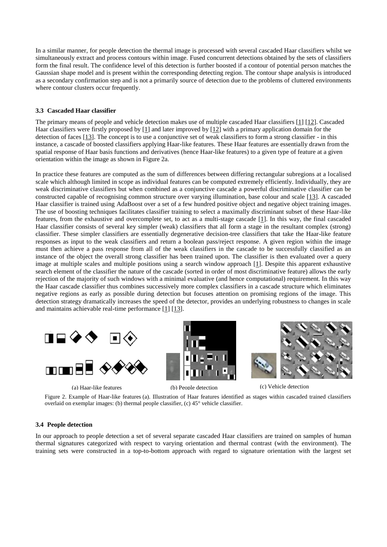In a similar manner, for people detection the thermal image is processed with several cascaded Haar classifiers whilst we simultaneously extract and process contours within image. Fused concurrent detections obtained by the sets of classifiers form the final result. The confidence level of this detection is further boosted if a contour of potential person matches the Gaussian shape model and is present within the corresponding detecting region. The contour shape analysis is introduced as a secondary confirmation step and is not a primarily source of detection due to the problems of cluttered environments where contour clusters occur frequently.

## **3.3 Cascaded Haar classifier**

The primary means of people and vehicle detection makes use of multiple cascaded Haar classifiers [\[1\]](#page-11-0) [\[12\]](#page-12-0). Cascaded Haar classifiers were firstly proposed by [\[1\]](#page-11-0) and later improved by [\[12\]](#page-12-0) with a primary application domain for the detection of faces [\[13\]](#page-12-1). The concept is to use a conjunctive set of weak classifiers to form a strong classifier - in this instance, a cascade of boosted classifiers applying Haar-like features. These Haar features are essentially drawn from the spatial response of Haar basis functions and derivatives (hence Haar-like features) to a given type of feature at a given orientation within the image as shown in [Figure 2a](#page-3-0).

In practice these features are computed as the sum of differences between differing rectangular subregions at a localised scale which although limited in scope as individual features can be computed extremely efficiently. Individually, they are weak discriminative classifiers but when combined as a conjunctive cascade a powerful discriminative classifier can be constructed capable of recognising common structure over varying illumination, base colour and scale [\[13\]](#page-12-1). A cascaded Haar classifier is trained using AdaBoost over a set of a few hundred positive object and negative object training images. The use of boosting techniques facilitates classifier training to select a maximally discriminant subset of these Haar-like features, from the exhaustive and overcomplete set, to act as a multi-stage cascade [\[1\]](#page-11-0). In this way, the final cascaded Haar classifier consists of several key simpler (weak) classifiers that all form a stage in the resultant complex (strong) classifier. These simpler classifiers are essentially degenerative decision-tree classifiers that take the Haar-like feature responses as input to the weak classifiers and return a boolean pass/reject response. A given region within the image must then achieve a pass response from all of the weak classifiers in the cascade to be successfully classified as an instance of the object the overall strong classifier has been trained upon. The classifier is then evaluated over a query image at multiple scales and multiple positions using a search window approach [\[1\]](#page-11-0). Despite this apparent exhaustive search element of the classifier the nature of the cascade (sorted in order of most discriminative feature) allows the early rejection of the majority of such windows with a minimal evaluative (and hence computational) requirement. In this way the Haar cascade classifier thus combines successively more complex classifiers in a cascade structure which eliminates negative regions as early as possible during detection but focuses attention on promising regions of the image. This detection strategy dramatically increases the speed of the detector, provides an underlying robustness to changes in scale and maintains achievable real-time performance [\[1\]](#page-11-0) [\[13\]](#page-12-1).







(a) Haar-like features (b) People detection (c) Vehicle detection

<span id="page-3-0"></span>Figure 2. Example of Haar-like features (a). Illustration of Haar features identified as stages within cascaded trained classifiers overlaid on exemplar images: (b) thermal people classifier, (c) 45° vehicle classifier.

#### **3.4 People detection**

In our approach to people detection a set of several separate cascaded Haar classifiers are trained on samples of human thermal signatures categorized with respect to varying orientation and thermal contrast (with the environment). The training sets were constructed in a top-to-bottom approach with regard to signature orientation with the largest set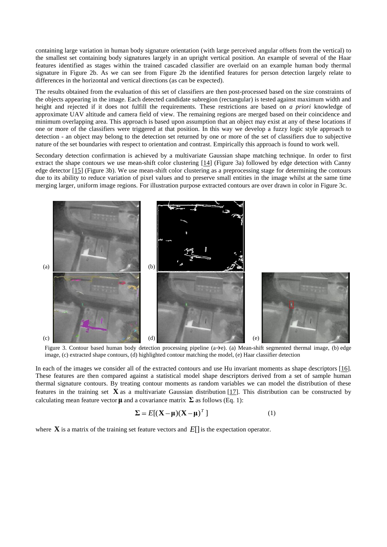containing large variation in human body signature orientation (with large perceived angular offsets from the vertical) to the smallest set containing body signatures largely in an upright vertical position. An example of several of the Haar features identified as stages within the trained cascaded classifier are overlaid on an example human body thermal signature in [Figure 2b](#page-3-0). As we can see from [Figure 2b](#page-3-0) the identified features for person detection largely relate to differences in the horizontal and vertical directions (as can be expected).

The results obtained from the evaluation of this set of classifiers are then post-processed based on the size constraints of the objects appearing in the image. Each detected candidate subregion (rectangular) is tested against maximum width and height and rejected if it does not fulfill the requirements. These restrictions are based on *a priori* knowledge of approximate UAV altitude and camera field of view. The remaining regions are merged based on their coincidence and minimum overlapping area. This approach is based upon assumption that an object may exist at any of these locations if one or more of the classifiers were triggered at that position. In this way we develop a fuzzy logic style approach to detection - an object may belong to the detection set returned by one or more of the set of classifiers due to subjective nature of the set boundaries with respect to orientation and contrast. Empirically this approach is found to work well.

Secondary detection confirmation is achieved by a multivariate Gaussian shape matching technique. In order to first extract the shape contours we use mean-shift color clustering  $[14]$  [\(Figure 3a](#page-4-0)) followed by edge detection with Canny edge detector [\[15\]](#page-12-3) [\(Figure 3b](#page-4-0)). We use mean-shift color clustering as a preprocessing stage for determining the contours due to its ability to reduce variation of pixel values and to preserve small entities in the image whilst at the same time merging larger, uniform image regions. For illustration purpose extracted contours are over drawn in color i[n Figure 3c](#page-4-0).



<span id="page-4-0"></span>Figure 3. Contour based human body detection processing pipeline (a→e). (a) Mean-shift segmented thermal image, (b) edge image, (c) extracted shape contours, (d) highlighted contour matching the model, (e) Haar classifier detection

In each of the images we consider all of the extracted contours and use Hu invariant moments as shape descriptors [\[16\]](#page-12-4). These features are then compared against a statistical model shape descriptors derived from a set of sample human thermal signature contours. By treating contour moments as random variables we can model the distribution of these features in the training set **X** as a multivariate Gaussian distribution [\[17\]](#page-12-5). This distribution can be constructed by calculating mean feature vector **μ** and a covariance matrix **Σ** as follows (Eq. 1):

$$
\Sigma = E[(\mathbf{X} - \boldsymbol{\mu})(\mathbf{X} - \boldsymbol{\mu})^T]
$$
 (1)

where **X** is a matrix of the training set feature vectors and *E*[] is the expectation operator.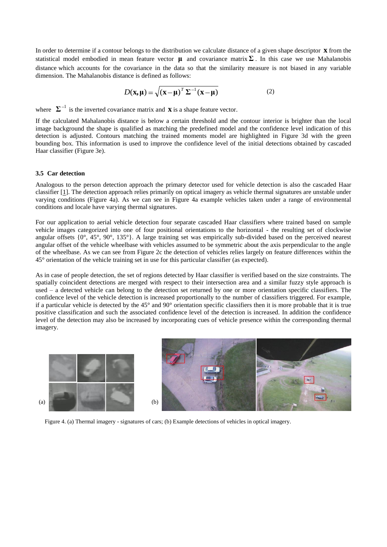In order to determine if a contour belongs to the distribution we calculate distance of a given shape descriptor **x** from the statistical model embodied in mean feature vector  $\mu$  and covariance matrix  $\Sigma$ . In this case we use Mahalanobis distance which accounts for the covariance in the data so that the similarity measure is not biased in any variable dimension. The Mahalanobis distance is defined as follows:

$$
D(\mathbf{x}, \mathbf{\mu}) = \sqrt{(\mathbf{x} - \mathbf{\mu})^T \Sigma^{-1} (\mathbf{x} - \mathbf{\mu})}
$$
 (2)

where  $\Sigma^{-1}$  is the inverted covariance matrix and **x** is a shape feature vector.

If the calculated Mahalanobis distance is below a certain threshold and the contour interior is brighter than the local image background the shape is qualified as matching the predefined model and the confidence level indication of this detection is adjusted. Contours matching the trained moments model are highlighted in [Figure 3d](#page-4-0) with the green bounding box. This information is used to improve the confidence level of the initial detections obtained by cascaded Haar classifier [\(Figure 3e](#page-4-0)).

# <span id="page-5-1"></span>**3.5 Car detection**

Analogous to the person detection approach the primary detector used for vehicle detection is also the cascaded Haar classifier [\[1\]](#page-11-0). The detection approach relies primarily on optical imagery as vehicle thermal signatures are unstable under varying conditions [\(Figure 4a](#page-5-0)). As we can see in [Figure 4a](#page-5-0) example vehicles taken under a range of environmental conditions and locale have varying thermal signatures.

For our application to aerial vehicle detection four separate cascaded Haar classifiers where trained based on sample vehicle images categorized into one of four positional orientations to the horizontal - the resulting set of clockwise angular offsets {0°, 45°, 90°, 135°}. A large training set was empirically sub-divided based on the perceived nearest angular offset of the vehicle wheelbase with vehicles assumed to be symmetric about the axis perpendicular to the angle of the wheelbase. As we can see from [Figure 2c](#page-3-0) the detection of vehicles relies largely on feature differences within the 45° orientation of the vehicle training set in use for this particular classifier (as expected).

As in case of people detection, the set of regions detected by Haar classifier is verified based on the size constraints. The spatially coincident detections are merged with respect to their intersection area and a similar fuzzy style approach is used – a detected vehicle can belong to the detection set returned by one or more orientation specific classifiers. The confidence level of the vehicle detection is increased proportionally to the number of classifiers triggered. For example, if a particular vehicle is detected by the 45° and 90° orientation specific classifiers then it is more probable that it is true positive classification and such the associated confidence level of the detection is increased. In addition the confidence level of the detection may also be increased by incorporating cues of vehicle presence within the corresponding thermal imagery.

<span id="page-5-0"></span>

Figure 4. (a) Thermal imagery - signatures of cars; (b) Example detections of vehicles in optical imagery.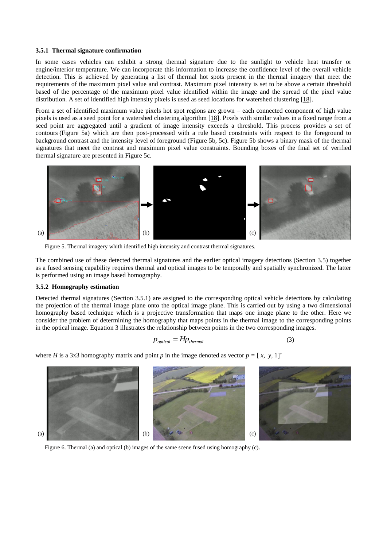#### <span id="page-6-1"></span>**3.5.1 Thermal signature confirmation**

In some cases vehicles can exhibit a strong thermal signature due to the sunlight to vehicle heat transfer or engine/interior temperature. We can incorporate this information to increase the confidence level of the overall vehicle detection. This is achieved by generating a list of thermal hot spots present in the thermal imagery that meet the requirements of the maximum pixel value and contrast. Maximum pixel intensity is set to be above a certain threshold based of the percentage of the maximum pixel value identified within the image and the spread of the pixel value distribution. A set of identified high intensity pixels is used as seed locations for watershed clustering [\[18\]](#page-12-6).

From a set of identified maximum value pixels hot spot regions are grown – each connected component of high value pixels is used as a seed point for a watershed clustering algorithm [\[18\]](#page-12-6). Pixels with similar values in a fixed range from a seed point are aggregated until a gradient of image intensity exceeds a threshold. This process provides a set of contours [\(Figure 5a](#page-6-0)) which are then post-processed with a rule based constraints with respect to the foreground to background contrast and the intensity level of foreground [\(Figure 5b](#page-6-0), 5c). [Figure 5b](#page-6-0) shows a binary mask of the thermal signatures that meet the contrast and maximum pixel value constraints. Bounding boxes of the final set of verified thermal signature are presented i[n Figure 5c](#page-6-0).



<span id="page-6-0"></span>Figure 5. Thermal imagery whith identified high intensity and contrast thermal signatures.

The combined use of these detected thermal signatures and the earlier optical imagery detections (Section [3.5\)](#page-5-1) together as a fused sensing capability requires thermal and optical images to be temporally and spatially synchronized. The latter is performed using an image based homography.

## **3.5.2 Homography estimation**

Detected thermal signatures (Section [3.5.1\)](#page-6-1) are assigned to the corresponding optical vehicle detections by calculating the projection of the thermal image plane onto the optical image plane. This is carried out by using a two dimensional homography based technique which is a projective transformation that maps one image plane to the other. Here we consider the problem of determining the homography that maps points in the thermal image to the corresponding points in the optical image. Equation 3 illustrates the relationship between points in the two corresponding images.

$$
p_{\text{optical}} = H p_{\text{thermal}} \tag{3}
$$

where *H* is a 3x3 homography matrix and point *p* in the image denoted as vector  $p = [x, y, 1]$ '



<span id="page-6-2"></span>Figure 6. Thermal (a) and optical (b) images of the same scene fused using homography (c).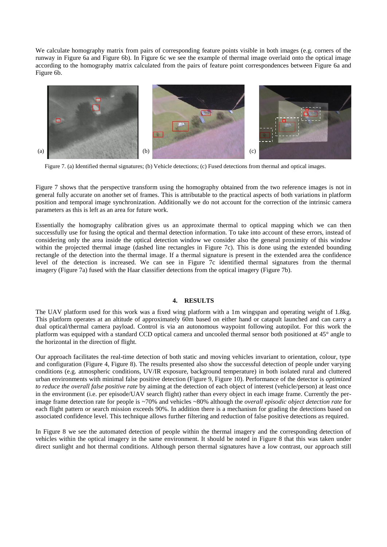We calculate homography matrix from pairs of corresponding feature points visible in both images (e.g. corners of the runway in [Figure 6a](#page-6-2) and [Figure 6b](#page-6-2)). In [Figure 6c](#page-6-2) we see the example of thermal image overlaid onto the optical image according to the homography matrix calculated from the pairs of feature point correspondences between [Figure 6a](#page-6-2) and [Figure 6b](#page-6-2).



<span id="page-7-0"></span>Figure 7. (a) Identified thermal signatures; (b) Vehicle detections; (c) Fused detections from thermal and optical images.

[Figure 7](#page-7-0) shows that the perspective transform using the homography obtained from the two reference images is not in general fully accurate on another set of frames. This is attributable to the practical aspects of both variations in platform position and temporal image synchronization. Additionally we do not account for the correction of the intrinsic camera parameters as this is left as an area for future work.

Essentially the homography calibration gives us an approximate thermal to optical mapping which we can then successfully use for fusing the optical and thermal detection information. To take into account of these errors, instead of considering only the area inside the optical detection window we consider also the general proximity of this window within the projected thermal image (dashed line rectangles in [Figure 7c](#page-7-0)). This is done using the extended bounding rectangle of the detection into the thermal image. If a thermal signature is present in the extended area the confidence level of the detection is increased. We can see in [Figure 7c](#page-7-0) identified thermal signatures from the thermal imagery [\(Figure 7a](#page-7-0)) fused with the Haar classifier detections from the optical imagery [\(Figure 7b](#page-7-0)).

## **4. RESULTS**

The UAV platform used for this work was a fixed wing platform with a 1m wingspan and operating weight of 1.8kg. This platform operates at an altitude of approximately 60m based on either hand or catapult launched and can carry a dual optical/thermal camera payload. Control is via an autonomous waypoint following autopilot. For this work the platform was equipped with a standard CCD optical camera and uncooled thermal sensor both positioned at 45° angle to the horizontal in the direction of flight.

Our approach facilitates the real-time detection of both static and moving vehicles invariant to orientation, colour, type and configuration [\(Figure 4,](#page-5-0) [Figure 8\)](#page-8-0). The results presented also show the successful detection of people under varying conditions (e.g. atmospheric conditions, UV/IR exposure, background temperature) in both isolated rural and cluttered urban environments with minimal false positive detection [\(Figure 9,](#page-9-0) [Figure 10\)](#page-9-1). Performance of the detector is *optimized to reduce the overall false positive rate* by aiming at the detection of each object of interest (vehicle/person) at least once in the environment (i.e. per episode/UAV search flight) rather than every object in each image frame. Currently the perimage frame detection rate for people is ~70% and vehicles ~80% although the *overall episodic object detection rate* for each flight pattern or search mission exceeds 90%. In addition there is a mechanism for grading the detections based on associated confidence level. This technique allows further filtering and reduction of false positive detections as required.

In [Figure 8](#page-8-0) we see the automated detection of people within the thermal imagery and the corresponding detection of vehicles within the optical imagery in the same environment. It should be noted in [Figure 8](#page-8-0) that this was taken under direct sunlight and hot thermal conditions. Although person thermal signatures have a low contrast, our approach still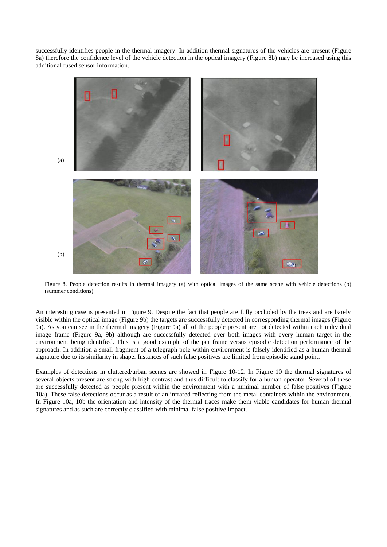successfully identifies people in the thermal imagery. In addition thermal signatures of the vehicles are present [\(Figure](#page-8-0)  [8a](#page-8-0)) therefore the confidence level of the vehicle detection in the optical imagery [\(Figure 8b](#page-8-0)) may be increased using this additional fused sensor information.



<span id="page-8-0"></span>Figure 8. People detection results in thermal imagery (a) with optical images of the same scene with vehicle detections (b) (summer conditions).

An interesting case is presented in [Figure 9.](#page-9-0) Despite the fact that people are fully occluded by the trees and are barely visible within the optical image [\(Figure 9b](#page-9-0)) the targets are successfully detected in corresponding thermal images [\(Figure](#page-9-0) [9](#page-9-0)a). As you can see in the thermal imagery [\(Figure](#page-9-0) 9a) all of the people present are not detected within each individual image frame [\(Figure 9a](#page-9-0), 9b) although are successfully detected over both images with every human target in the environment being identified. This is a good example of the per frame versus episodic detection performance of the approach. In addition a small fragment of a telegraph pole within environment is falsely identified as a human thermal signature due to its similarity in shape. Instances of such false positives are limited from episodic stand point.

Examples of detections in cluttered/urban scenes are showed in [Figure 10-](#page-9-1)12. In [Figure 10](#page-9-1) the thermal signatures of several objects present are strong with high contrast and thus difficult to classify for a human operator. Several of these are successfully detected as people present within the environment with a minimal number of false positives [\(Figure](#page-9-1)  [10a](#page-9-1)). These false detections occur as a result of an infrared reflecting from the metal containers within the environment. In [Figure 10a](#page-9-1), 10b the orientation and intensity of the thermal traces make them viable candidates for human thermal signatures and as such are correctly classified with minimal false positive impact.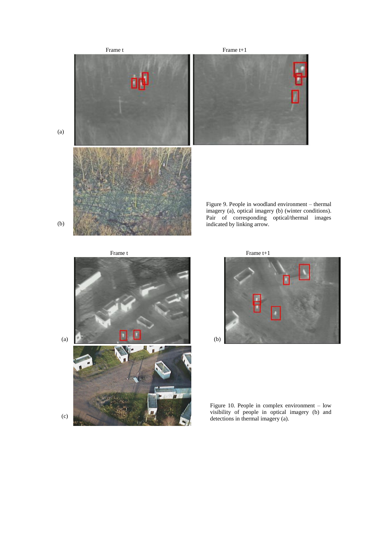

(b)



(a)

(c)

<span id="page-9-0"></span>

<span id="page-9-1"></span>Figure 10. People in complex environment – low visibility of people in optical imagery (b) and detections in thermal imagery (a).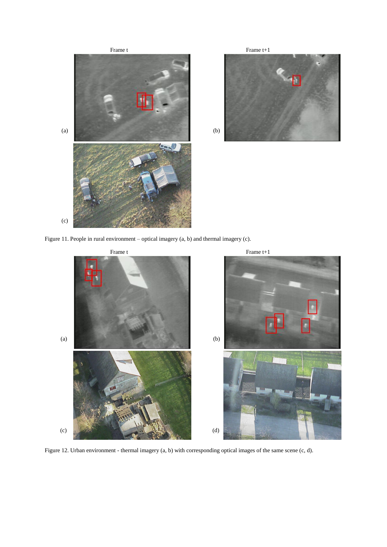

<span id="page-10-0"></span>Figure 11. People in rural environment – optical imagery (a, b) and thermal imagery (c).



<span id="page-10-1"></span>Figure 12. Urban environment - thermal imagery (a, b) with corresponding optical images of the same scene (c, d).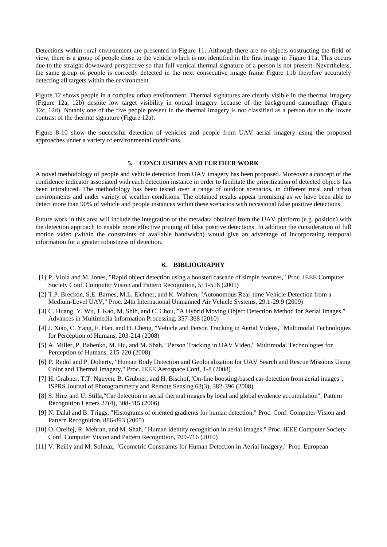Detections within rural environment are presented in [Figure 11.](#page-10-0) Although there are no objects obstructing the field of view, there is a group of people close to the vehicle which is not identified in the first image in [Figure 11a](#page-10-0). This occurs due to the straight downward perspective so that full vertical thermal signature of a person is not present. Nevertheless, the same group of people is correctly detected in the next consecutive image frame [Figure 11b](#page-10-0) therefore accurately detecting all targets within the environment.

[Figure 12](#page-10-1) shows people in a complex urban environment. Thermal signatures are clearly visible in the thermal imagery [\(Figure 12a](#page-10-1), 12b) despite low target visibility in optical imagery because of the background camouflage [\(Figure](#page-10-1)  [12c](#page-10-1), 12d). Notably one of the five people present in the thermal imagery is not classified as a person due to the lower contrast of the thermal signature [\(Figure 12a](#page-10-1)).

Figure 8-10 show the successful detection of vehicles and people from UAV aerial imagery using the proposed approaches under a variety of environmental conditions.

## **5. CONCLUSIONS AND FURTHER WORK**

A novel methodology of people and vehicle detection from UAV imagery has been proposed. Moreover a concept of the confidence indicator associated with each detection instance in order to facilitate the prioritization of detected objects has been introduced. The methodology has been tested over a range of outdoor scenarios, in different rural and urban environments and under variety of weather conditions. The obtained results appear promising as we have been able to detect more than 90% of vehicle and people instances within these scenarios with occasional false positive detections.

Future work in this area will include the integration of the metadata obtained from the UAV platform (e.g. position) with the detection approach to enable more effective pruning of false positive detections. In addition the consideration of full motion video (within the constraints of available bandwidth) would give an advantage of incorporating temporal information for a greater robustness of detection.

#### **6. BIBLIOGRAPHY**

- <span id="page-11-0"></span>[1] P. Viola and M. Jones, "Rapid object detection using a boosted cascade of simple features," Proc. IEEE Computer Society Conf. Computer Vision and Pattern Recognition, 511-518 (2001)
- <span id="page-11-1"></span>[2] T.P. Breckon, S.E. Barnes, M.L. Eichner, and K. Wahren, "Autonomous Real-time Vehicle Detection from a Medium-Level UAV," Proc. 24th International Unmanned Air Vehicle Systems, 29.1-29.9 (2009)
- [3] C. Huang, Y. Wu, J. Kao, M. Shih, and C. Chou, "A Hybrid Moving Object Detection Method for Aerial Images," Advances in Multimedia Information Processing, 357-368 (2010)
- [4] J. Xiao, C. Yang, F. Han, and H. Cheng, "Vehicle and Person Tracking in Aerial Videos," Multimodal Technologies for Perception of Humans, 203-214 (2008)
- [5] A. Miller, P. Babenko, M. Hu, and M. Shah, "Person Tracking in UAV Video," Multimodal Technologies for Perception of Humans, 215-220 (2008)
- <span id="page-11-2"></span>[6] P. Rudol and P. Doherty, "Human Body Detection and Geolocalization for UAV Search and Rescue Missions Using Color and Thermal Imagery," Proc. IEEE Aerospace Conf, 1-8 (2008)
- <span id="page-11-3"></span>[7] H. Grabner, T.T. Nguyen, B. Grubner, and H. Bischof,"On-line boosting-based car detection from aerial images", ISPRS Journal of Photogrammetry and Remote Sensing 63(3), 382-396 (2008)
- <span id="page-11-4"></span>[8] S. Hinz and U. Stilla,"Car detection in aerial thermal images by local and global evidence accumulation", Pattern Recognition Letters 27(4), 308-315 (2006)
- <span id="page-11-5"></span>[9] N. Dalal and B. Triggs, "Histograms of oriented gradients for human detection," Proc. Conf. Computer Vision and Pattern Recognition, 886-893 (2005)
- <span id="page-11-6"></span>[10] O. Oreifej, R. Mehran, and M. Shah, "Human identity recognition in aerial images," Proc. IEEE Computer Society Conf. Computer Vision and Pattern Recognition, 709-716 (2010)
- [11] V. Reilly and M. Solmaz, "Geometric Constraints for Human Detection in Aerial Imagery," Proc. European